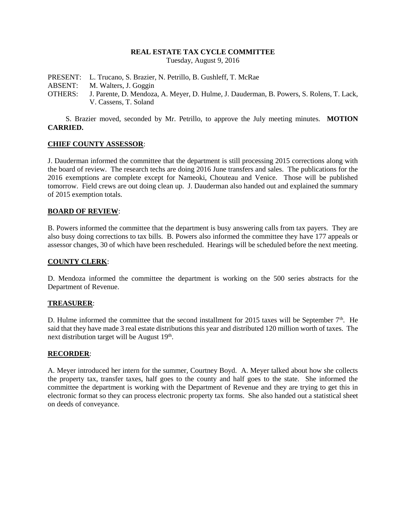## **REAL ESTATE TAX CYCLE COMMITTEE**

Tuesday, August 9, 2016

PRESENT: L. Trucano, S. Brazier, N. Petrillo, B. Gushleff, T. McRae ABSENT: M. Walters, J. Goggin OTHERS: J. Parente, D. Mendoza, A. Meyer, D. Hulme, J. Dauderman, B. Powers, S. Rolens, T. Lack, V. Cassens, T. Soland

S. Brazier moved, seconded by Mr. Petrillo, to approve the July meeting minutes. **MOTION CARRIED.**

### **CHIEF COUNTY ASSESSOR**:

J. Dauderman informed the committee that the department is still processing 2015 corrections along with the board of review. The research techs are doing 2016 June transfers and sales. The publications for the 2016 exemptions are complete except for Nameoki, Chouteau and Venice. Those will be published tomorrow. Field crews are out doing clean up. J. Dauderman also handed out and explained the summary of 2015 exemption totals.

### **BOARD OF REVIEW**:

B. Powers informed the committee that the department is busy answering calls from tax payers. They are also busy doing corrections to tax bills. B. Powers also informed the committee they have 177 appeals or assessor changes, 30 of which have been rescheduled. Hearings will be scheduled before the next meeting.

### **COUNTY CLERK**:

D. Mendoza informed the committee the department is working on the 500 series abstracts for the Department of Revenue.

#### **TREASURER**:

D. Hulme informed the committee that the second installment for 2015 taxes will be September  $7<sup>th</sup>$ . He said that they have made 3 real estate distributions this year and distributed 120 million worth of taxes. The next distribution target will be August 19<sup>th</sup>.

#### **RECORDER**:

A. Meyer introduced her intern for the summer, Courtney Boyd. A. Meyer talked about how she collects the property tax, transfer taxes, half goes to the county and half goes to the state. She informed the committee the department is working with the Department of Revenue and they are trying to get this in electronic format so they can process electronic property tax forms. She also handed out a statistical sheet on deeds of conveyance.